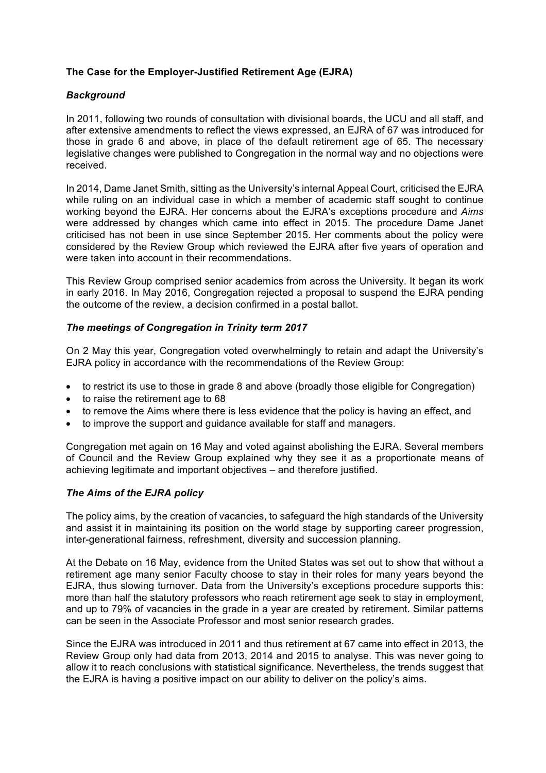# **The Case for the Employer-Justified Retirement Age (EJRA)**

## *Background*

In 2011, following two rounds of consultation with divisional boards, the UCU and all staff, and after extensive amendments to reflect the views expressed, an EJRA of 67 was introduced for those in grade 6 and above, in place of the default retirement age of 65. The necessary legislative changes were published to Congregation in the normal way and no objections were received.

In 2014, Dame Janet Smith, sitting as the University's internal Appeal Court, criticised the EJRA while ruling on an individual case in which a member of academic staff sought to continue working beyond the EJRA. Her concerns about the EJRA's exceptions procedure and *Aims* were addressed by changes which came into effect in 2015. The procedure Dame Janet criticised has not been in use since September 2015. Her comments about the policy were considered by the Review Group which reviewed the EJRA after five years of operation and were taken into account in their recommendations.

This Review Group comprised senior academics from across the University. It began its work in early 2016. In May 2016, Congregation rejected a proposal to suspend the EJRA pending the outcome of the review, a decision confirmed in a postal ballot.

## *The meetings of Congregation in Trinity term 2017*

On 2 May this year, Congregation voted overwhelmingly to retain and adapt the University's EJRA policy in accordance with the recommendations of the Review Group:

- to restrict its use to those in grade 8 and above (broadly those eligible for Congregation)
- to raise the retirement age to 68
- to remove the Aims where there is less evidence that the policy is having an effect, and
- to improve the support and guidance available for staff and managers.

Congregation met again on 16 May and voted against abolishing the EJRA. Several members of Council and the Review Group explained why they see it as a proportionate means of achieving legitimate and important objectives – and therefore justified.

## *The Aims of the EJRA policy*

The policy aims, by the creation of vacancies, to safeguard the high standards of the University and assist it in maintaining its position on the world stage by supporting career progression, inter-generational fairness, refreshment, diversity and succession planning.

At the Debate on 16 May, evidence from the United States was set out to show that without a retirement age many senior Faculty choose to stay in their roles for many years beyond the EJRA, thus slowing turnover. Data from the University's exceptions procedure supports this: more than half the statutory professors who reach retirement age seek to stay in employment, and up to 79% of vacancies in the grade in a year are created by retirement. Similar patterns can be seen in the Associate Professor and most senior research grades.

Since the EJRA was introduced in 2011 and thus retirement at 67 came into effect in 2013, the Review Group only had data from 2013, 2014 and 2015 to analyse. This was never going to allow it to reach conclusions with statistical significance. Nevertheless, the trends suggest that the EJRA is having a positive impact on our ability to deliver on the policy's aims.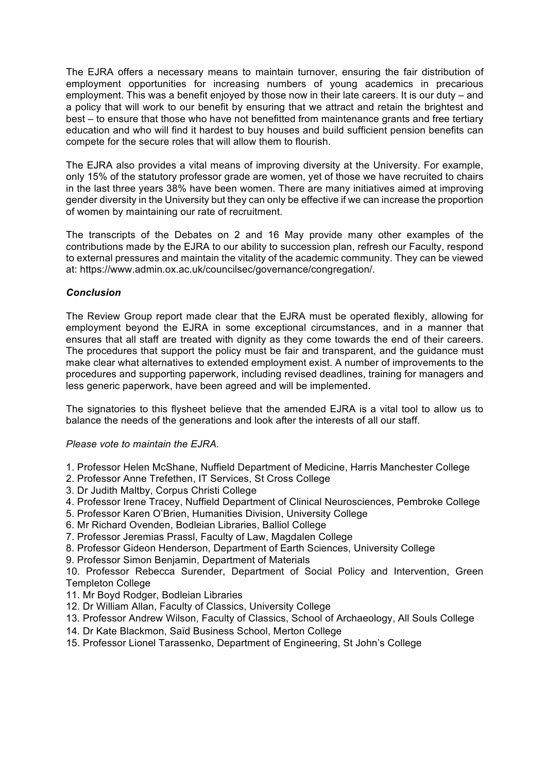The EJRA offers a necessary means to maintain turnover, ensuring the fair distribution of employment opportunities for increasing numbers of young academics in precarious employment. This was a benefit enjoyed by those now in their late careers. It is our duty – and a policy that will work to our benefit by ensuring that we attract and retain the brightest and best – to ensure that those who have not benefitted from maintenance grants and free tertiary education and who will find it hardest to buy houses and build sufficient pension benefits can compete for the secure roles that will allow them to flourish.

The EJRA also provides a vital means of improving diversity at the University. For example, only 15% of the statutory professor grade are women, yet of those we have recruited to chairs in the last three years 38% have been women. There are many initiatives aimed at improving gender diversity in the University but they can only be effective if we can increase the proportion of women by maintaining our rate of recruitment.

The transcripts of the Debates on 2 and 16 May provide many other examples of the contributions made by the EJRA to our ability to succession plan, refresh our Faculty, respond to external pressures and maintain the vitality of the academic community. They can be viewed at: https://www.admin.ox.ac.uk/councilsec/governance/congregation/.

# *Conclusion*

The Review Group report made clear that the EJRA must be operated flexibly, allowing for employment beyond the EJRA in some exceptional circumstances, and in a manner that ensures that all staff are treated with dignity as they come towards the end of their careers. The procedures that support the policy must be fair and transparent, and the guidance must make clear what alternatives to extended employment exist. A number of improvements to the procedures and supporting paperwork, including revised deadlines, training for managers and less generic paperwork, have been agreed and will be implemented.

The signatories to this flysheet believe that the amended EJRA is a vital tool to allow us to balance the needs of the generations and look after the interests of all our staff.

## *Please vote to maintain the EJRA.*

- 1. Professor Helen McShane, Nuffield Department of Medicine, Harris Manchester College
- 2. Professor Anne Trefethen, IT Services, St Cross College
- 3. Dr Judith Maltby, Corpus Christi College
- 4. Professor Irene Tracey, Nuffield Department of Clinical Neurosciences, Pembroke College
- 5. Professor Karen O'Brien, Humanities Division, University College
- 6. Mr Richard Ovenden, Bodleian Libraries, Balliol College
- 7. Professor Jeremias Prassl, Faculty of Law, Magdalen College
- 8. Professor Gideon Henderson, Department of Earth Sciences, University College
- 9. Professor Simon Benjamin, Department of Materials

10. Professor Rebecca Surender, Department of Social Policy and Intervention, Green Templeton College

- 11. Mr Boyd Rodger, Bodleian Libraries
- 12. Dr William Allan, Faculty of Classics, University College
- 13. Professor Andrew Wilson, Faculty of Classics, School of Archaeology, All Souls College
- 14. Dr Kate Blackmon, Saïd Business School, Merton College
- 15. Professor Lionel Tarassenko, Department of Engineering, St John's College